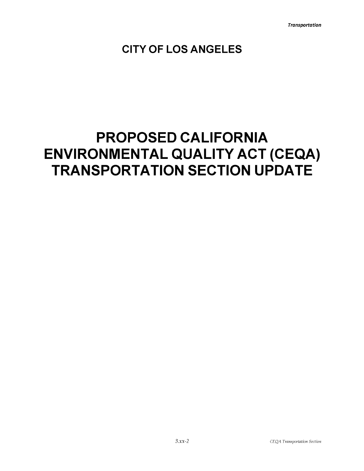**CITY OF LOS ANGELES**

# **PROPOSED CALIFORNIA ENVIRONMENTAL QUALITY ACT (CEQA) TRANSPORTATION SECTION UPDATE**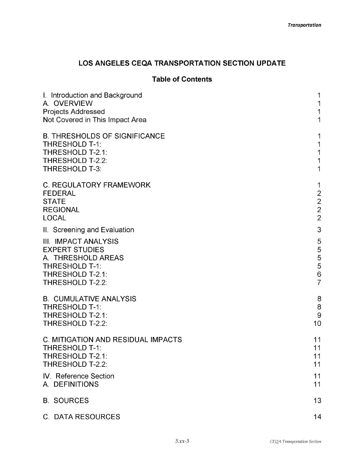# **LOS ANGELES CEQA TRANSPORTATION SECTION UPDATE**

# **Table of Contents**

| I. Introduction and Background                                                                      | 1                                                 |
|-----------------------------------------------------------------------------------------------------|---------------------------------------------------|
| A. OVERVIEW                                                                                         | 1                                                 |
| Projects Addressed                                                                                  | 1                                                 |
| Not Covered in This Impact Area                                                                     | 1                                                 |
| <b>B. THRESHOLDS OF SIGNIFICANCE</b>                                                                | 1                                                 |
| <b>THRESHOLD T-1:</b>                                                                               | 1                                                 |
| THRESHOLD T-2.1:                                                                                    | 1                                                 |
| THRESHOLD T-2.2:                                                                                    | $\mathbf 1$                                       |
| <b>THRESHOLD T-3:</b>                                                                               | $\mathbf 1$                                       |
| <b>C. REGULATORY FRAMEWORK</b><br><b>FEDERAL</b><br><b>STATE</b><br><b>REGIONAL</b><br><b>LOCAL</b> | 1<br>$\begin{array}{c}\n2 \\ 2 \\ 2\n\end{array}$ |
| II. Screening and Evaluation                                                                        | 3                                                 |
| <b>III. IMPACT ANALYSIS</b>                                                                         | 5                                                 |
| <b>EXPERT STUDIES</b>                                                                               | $\mathbf 5$                                       |
| A. THRESHOLD AREAS                                                                                  | 5                                                 |
| <b>THRESHOLD T-1:</b>                                                                               | 5                                                 |
| THRESHOLD T-2.1:                                                                                    | $\mathsf 6$                                       |
| THRESHOLD T-2.2:                                                                                    | $\overline{7}$                                    |
| <b>B. CUMULATIVE ANALYSIS</b>                                                                       | 8                                                 |
| <b>THRESHOLD T-1:</b>                                                                               | 8                                                 |
| THRESHOLD T-2.1:                                                                                    | 9                                                 |
| THRESHOLD T-2.2:                                                                                    | 10                                                |
| <b>C. MITIGATION AND RESIDUAL IMPACTS</b>                                                           | 11                                                |
| <b>THRESHOLD T-1:</b>                                                                               | 11                                                |
| THRESHOLD T-2.1:                                                                                    | 11                                                |
| THRESHOLD T-2.2:                                                                                    | 11                                                |
| <b>IV.</b> Reference Section                                                                        | 11                                                |
| A. DEFINITIONS                                                                                      | 11                                                |
| <b>B. SOURCES</b>                                                                                   | 13                                                |
| C. DATA RESOURCES                                                                                   | 14                                                |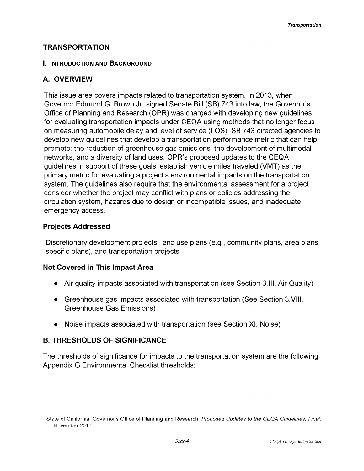#### **TRANSPORTATION**

#### **I. Introduction and Background**

# **A. OVERVIEW**

This issue area covers impacts related to transportation system. In 2013, when Governor Edmund G. Brown Jr. signed Senate Bill (SB) 743 into law, the Governor's Office of Planning and Research (OPR) was charged with developing new guidelines for evaluating transportation impacts under CEQA using methods that no longer focus on measuring automobile delay and level of service (LOS). SB 743 directed agencies to develop new guidelines that develop a transportation performance metric that can help promote: the reduction of greenhouse gas emissions, the development of multimodal networks, and a diversity of land uses. OPR's proposed updates to the CEQA guidelines in support of these goals<sup>1</sup> establish vehicle miles traveled (VMT) as the primary metric for evaluating a project's environmental impacts on the transportation system. The guidelines also require that the environmental assessment for a project consider whether the project may conflict with plans or policies addressing the circulation system, hazards due to design or incompatible issues, and inadequate emergency access.

## **Projects Addressed**

Discretionary development projects, land use plans (e.g., community plans, area plans, specific plans), and transportation projects.

#### **Not Covered in This Impact Area**

- Air quality impacts associated with transportation (see Section 3.III. Air Quality)
- Greenhouse gas impacts associated with transportation (See Section 3.VIII. Greenhouse Gas Emissions)
- Noise impacts associated with transportation (see Section XI. Noise)

# **B. THRESHOLDS OF SIGNIFICANCE**

The thresholds of significance for impacts to the transportation system are the following Appendix G Environmental Checklist thresholds:

<sup>1</sup> State of California, Governor's Office of Planning and Research, *Proposed Updates to the CEQA Guidelines, Final,* November 2017.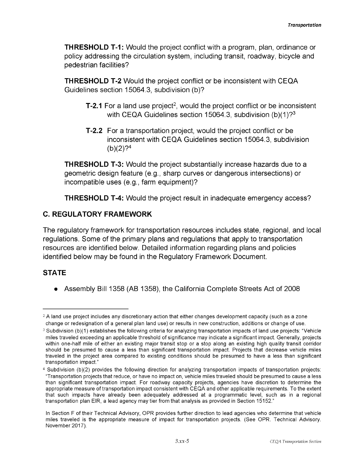**THRESHOLD T-1:** Would the project conflict with a program, plan, ordinance or policy addressing the circulation system, including transit, roadway, bicycle and pedestrian facilities?

**THRESHOLD T-2** Would the project conflict or be inconsistent with CEQA Guidelines section 15064.3, subdivision (b)?

- **T-2.1** For a land use project<sup>2</sup>, would the project conflict or be inconsistent with CEQA Guidelines section 15064.3, subdivision (b)(1)?<sup>3</sup>
- **T-2.2** For a transportation project, would the project conflict or be inconsistent with CEQA Guidelines section 15064.3, subdivision  $(b)(2)$ ?<sup>4</sup>

**THRESHOLD T-3:** Would the project substantially increase hazards due to a geometric design feature (e.g., sharp curves or dangerous intersections) or incompatible uses (e.g., farm equipment)?

**THRESHOLD T-4:** Would the project result in inadequate emergency access?

## **C. REGULATORY FRAMEWORK**

The regulatory framework for transportation resources includes state, regional, and local regulations. Some of the primary plans and regulations that apply to transportation resources are identified below. Detailed information regarding plans and policies identified below may be found in the Regulatory Framework Document.

# **STATE**

Assembly Bill 1358 (AB 1358), the California Complete Streets Act of 2008

<sup>&</sup>lt;sup>2</sup> A land use project includes any discretionary action that either changes development capacity (such as a zone change or redesignation of a general plan land use) or results in new construction, additions or change of use.

<sup>&</sup>lt;sup>3</sup> Subdivision (b)(1) establishes the following criteria for analyzing transportation impacts of land use projects: "Vehicle miles traveled exceeding an applicable threshold of significance may indicate a significant impact. Generally, projects within one-half mile of either an existing major transit stop or a stop along an existing high quality transit corridor should be presumed to cause a less than significant transportation impact. Projects that decrease vehicle miles traveled in the project area compared to existing conditions should be presumed to have a less than significant transportation impact."

<sup>4</sup> Subdivision (b)(2) provides the following direction for analyzing transportation impacts of transportation projects: "Transportation projects that reduce, or have no impact on, vehicle miles traveled should be presumed to cause a less than significant transportation impact. For roadway capacity projects, agencies have discretion to determine the appropriate measure of transportation impact consistent with cEqA and other applicable requirements. To the extent that such impacts have already been adequately addressed at a programmatic level, such as in a regional transportation plan EIR, a lead agency may tier from that analysis as provided in Section 15152."

In Section F of their Technical Advisory, OPR provides further direction to lead agencies who determine that vehicle miles traveled is the appropriate measure of impact for transportation projects. (See OPR. Technical Advisory. November 2017).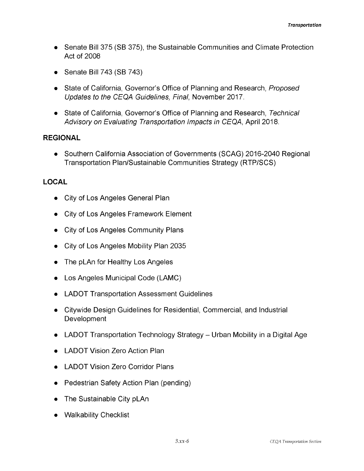- Senate Bill 375 (SB 375), the Sustainable Communities and Climate Protection Act of 2008
- Senate Bill 743 (SB 743)
- *•* State of California, Governor's Office of Planning and Research, *Proposed Updates to the CEQA Guidelines, Final,* November 2017.
- State of California, Governor's Office of Planning and Research, *Technical Advisory on Evaluating Transportation Impacts in CEQA,* April 2018.

#### **REGIONAL**

Southern California Association of Governments (SCAG) 2016-2040 Regional Transportation Plan/Sustainable Communities Strategy (RTP/SCS)

# **LOCAL**

- City of Los Angeles General Plan
- City of Los Angeles Framework Element
- City of Los Angeles Community Plans
- City of Los Angeles Mobility Plan 2035
- The pLAn for Healthy Los Angeles
- Los Angeles Municipal Code (LAMC)
- LADOT Transportation Assessment Guidelines
- Citywide Design Guidelines for Residential, Commercial, and Industrial **Development**
- LADOT Transportation Technology Strategy Urban Mobility in a Digital Age
- LADOT Vision Zero Action Plan
- LADOT Vision Zero Corridor Plans
- Pedestrian Safety Action Plan (pending)
- The Sustainable City pLAn
- Walkability Checklist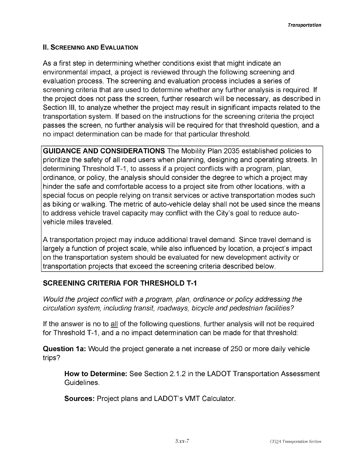#### **II. Screening and Evaluation**

As a first step in determining whether conditions exist that might indicate an environmental impact, a project is reviewed through the following screening and evaluation process. The screening and evaluation process includes a series of screening criteria that are used to determine whether any further analysis is required. If the project does not pass the screen, further research will be necessary, as described in Section III, to analyze whether the project may result in significant impacts related to the transportation system. If based on the instructions for the screening criteria the project passes the screen, no further analysis will be required for that threshold question, and a no impact determination can be made for that particular threshold.

**GUIDANCE AND CONSIDERATIONS** The Mobility Plan 2035 established policies to prioritize the safety of all road users when planning, designing and operating streets. In determining Threshold T-1, to assess if a project conflicts with a program, plan, ordinance, or policy, the analysis should consider the degree to which a project may hinder the safe and comfortable access to a project site from other locations, with a special focus on people relying on transit services or active transportation modes such as biking or walking. The metric of auto-vehicle delay shall not be used since the means to address vehicle travel capacity may conflict with the City's goal to reduce autovehicle miles traveled.

A transportation project may induce additional travel demand. Since travel demand is largely a function of project scale, while also influenced by location, a project's impact on the transportation system should be evaluated for new development activity or transportation projects that exceed the screening criteria described below.

# **SCREENING CRITERIA FOR THRESHOLD T-1**

*Would the project conflict with a program, plan, ordinance or policy addressing the circulation system, including transit, roadways, bicycle and pedestrian facilities?*

If the answer is no to all of the following questions, further analysis will not be required for Threshold T-1, and a no impact determination can be made for that threshold:

**Question 1a:** Would the project generate a net increase of 250 or more daily vehicle trips?

**How to Determine:** See Section 2.1.2 in the LADOT Transportation Assessment Guidelines.

**Sources:** Project plans and LADOT's VMT Calculator.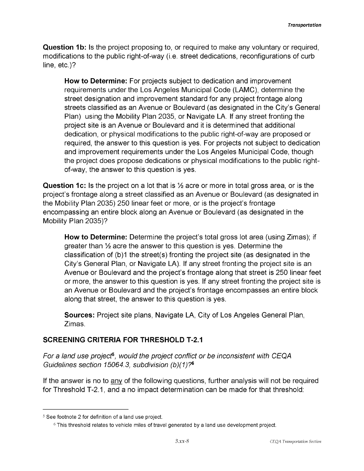**Question 1b:** Is the project proposing to, or required to make any voluntary or required, modifications to the public right-of-way (i.e. street dedications, reconfigurations of curb line, etc.)?

**How to Determine:** For projects subject to dedication and improvement requirements under the Los Angeles Municipal Code (LAMC), determine the street designation and improvement standard for any project frontage along streets classified as an Avenue or Boulevard (as designated in the City's General Plan) using the Mobility Plan 2035, or Navigate LA. If any street fronting the project site is an Avenue or Boulevard and it is determined that additional dedication, or physical modifications to the public right-of-way are proposed or required, the answer to this question is yes. For projects not subject to dedication and improvement requirements under the Los Angeles Municipal Code, though the project does propose dedications or physical modifications to the public rightof-way, the answer to this question is yes.

**Question 1c:** Is the project on a lot that is  $\frac{1}{2}$  acre or more in total gross area, or is the project's frontage along a street classified as an Avenue or Boulevard (as designated in the Mobility Plan 2035) 250 linear feet or more, or is the project's frontage encompassing an entire block along an Avenue or Boulevard (as designated in the Mobility Plan 2035)?

**How to Determine:** Determine the project's total gross lot area (using Zimas); if greater than % acre the answer to this question is yes. Determine the classification of (b)1 the street(s) fronting the project site (as designated in the City's General Plan, or Navigate LA). If any street fronting the project site is an Avenue or Boulevard and the project's frontage along that street is 250 linear feet or more, the answer to this question is yes. If any street fronting the project site is an Avenue or Boulevard and the project's frontage encompasses an entire block along that street, the answer to this question is yes.

**Sources:** Project site plans, Navigate LA, City of Los Angeles General Plan, Zimas.

# **SCREENING CRITERIA FOR THRESHOLD T-2.1**

*For a land use project5, would the project conflict or be inconsistent with CEQA Guidelines section 15064.3, subdivision (b)(1)?6*

If the answer is no to any of the following questions, further analysis will not be required for Threshold T-2.1, and a no impact determination can be made for that threshold:

<sup>5</sup> See footnote 2 for definition of a land use project.

<sup>6</sup> This threshold relates to vehicle miles of travel generated by a land use development project.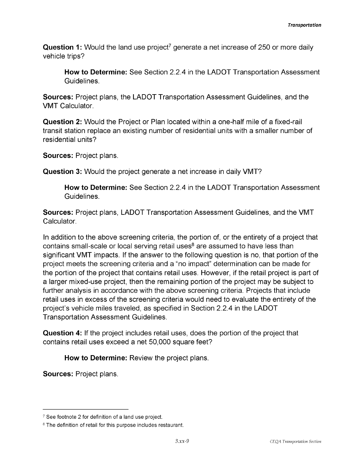**Question 1:** Would the land use project<sup>7</sup> generate a net increase of 250 or more daily vehicle trips?

**How to Determine:** See Section 2.2.4 in the LADOT Transportation Assessment Guidelines.

**Sources:** Project plans, the LADOT Transportation Assessment Guidelines, and the VMT Calculator.

**Question 2:** Would the Project or Plan located within a one-half mile of a fixed-rail transit station replace an existing number of residential units with a smaller number of residential units?

**Sources:** Project plans.

**Question 3:** Would the project generate a net increase in daily VMT?

**How to Determine:** See Section 2.2.4 in the LADOT Transportation Assessment Guidelines.

**Sources:** Project plans, LADOT Transportation Assessment Guidelines, and the VMT Calculator.

In addition to the above screening criteria, the portion of, or the entirety of a project that contains small-scale or local serving retail uses<sup>8</sup> are assumed to have less than significant VMT impacts. If the answer to the following question is no, that portion of the project meets the screening criteria and a "no impact" determination can be made for the portion of the project that contains retail uses. However, if the retail project is part of a larger mixed-use project, then the remaining portion of the project may be subject to further analysis in accordance with the above screening criteria. Projects that include retail uses in excess of the screening criteria would need to evaluate the entirety of the project's vehicle miles traveled, as specified in Section 2.2.4 in the LADOT Transportation Assessment Guidelines.

**Question 4:** If the project includes retail uses, does the portion of the project that contains retail uses exceed a net 50,000 square feet?

**How to Determine:** Review the project plans.

**Sources:** Project plans.

<sup>7</sup> See footnote 2 for definition of a land use project.

<sup>8</sup> The definition of retail for this purpose includes restaurant.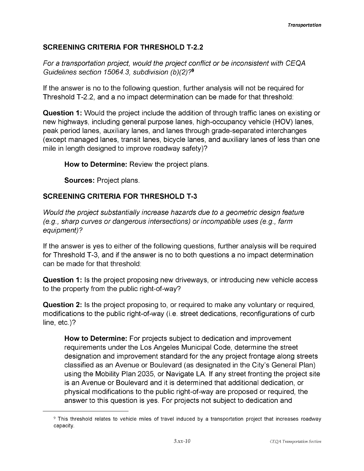# **SCREENING CRITERIA FOR THRESHOLD T-2.2**

*For a transportation project, would the project conflict or be inconsistent with CEQA Guidelines section 15064.3, subdivision (b)(2)?9*

If the answer is no to the following question, further analysis will not be required for Threshold T-2.2, and a no impact determination can be made for that threshold:

**Question 1:** Would the project include the addition of through traffic lanes on existing or new highways, including general purpose lanes, high-occupancy vehicle (HOV) lanes, peak period lanes, auxiliary lanes, and lanes through grade-separated interchanges (except managed lanes, transit lanes, bicycle lanes, and auxiliary lanes of less than one mile in length designed to improve roadway safety)?

**How to Determine:** Review the project plans.

**Sources:** Project plans.

# **SCREENING CRITERIA FOR THRESHOLD T-3**

*Would the project substantially increase hazards due to a geometric design feature (e.g., sharp curves or dangerous intersections) orincompatible uses (e.g., farm equipment)?*

If the answer is yes to either of the following questions, further analysis will be required for Threshold T-3, and if the answer is no to both questions a no impact determination can be made for that threshold:

**Question 1:** Is the project proposing new driveways, or introducing new vehicle access to the property from the public right-of-way?

**Question 2:** Is the project proposing to, or required to make any voluntary or required, modifications to the public right-of-way (i.e. street dedications, reconfigurations of curb line, etc.)?

**How to Determine:** For projects subject to dedication and improvement requirements under the Los Angeles Municipal Code, determine the street designation and improvement standard for the any project frontage along streets classified as an Avenue or Boulevard (as designated in the City's General Plan) using the Mobility Plan 2035, or Navigate LA. If any street fronting the project site is an Avenue or Boulevard and it is determined that additional dedication, or physical modifications to the public right-of-way are proposed or required, the answer to this question is yes. For projects not subject to dedication and

<sup>9</sup> This threshold relates to vehicle miles of travel induced by a transportation project that increases roadway capacity.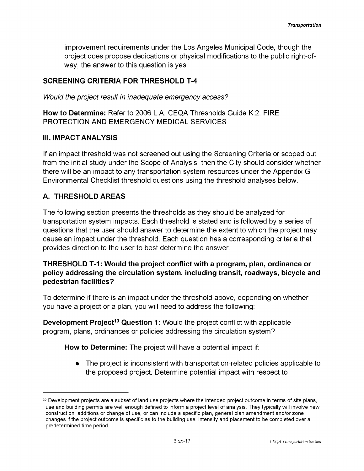improvement requirements under the Los Angeles Municipal Code, though the project does propose dedications or physical modifications to the public right-ofway, the answer to this question is yes.

#### **SCREENING CRITERIA FOR THRESHOLD T-4**

*Would the project result in inadequate emergency access?*

**How to Determine:** Refer to 2006 L.A. CEQA Thresholds Guide K.2. FIRE PROTECTION AND EMERGENCY MEDICAL SERVICES

#### **III. IMPACT ANALYSIS**

If an impact threshold was not screened out using the Screening Criteria or scoped out from the initial study under the Scope of Analysis, then the City should consider whether there will be an impact to any transportation system resources under the Appendix G Environmental Checklist threshold questions using the threshold analyses below.

## **A. THRESHOLD AREAS**

The following section presents the thresholds as they should be analyzed for transportation system impacts. Each threshold is stated and is followed by a series of questions that the user should answer to determine the extent to which the project may cause an impact under the threshold. Each question has a corresponding criteria that provides direction to the user to best determine the answer.

## **THRESHOLD T-1: Would the project conflict with a program, plan, ordinance or policy addressing the circulation system, including transit, roadways, bicycle and pedestrian facilities?**

To determine if there is an impact under the threshold above, depending on whether you have a project or a plan, you will need to address the following:

**Development Project<sup>10</sup> Question 1:** Would the project conflict with applicable program, plans, ordinances or policies addressing the circulation system?

**How to Determine:** The project will have a potential impact if:

The project is inconsistent with transportation-related policies applicable to the proposed project. Determine potential impact with respect to

 $10$  Development projects are a subset of land use projects where the intended project outcome in terms of site plans, use and building permits are well enough defined to inform a project level of analysis. They typically will involve new construction, additions or change of use, or can include a specific plan, general plan amendment and/or zone changes if the project outcome is specific as to the building use, intensity and placement to be completed over a predetermined time period.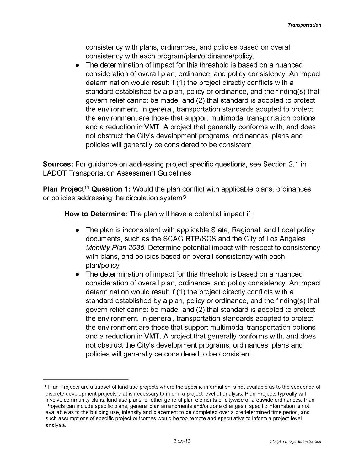consistency with plans, ordinances, and policies based on overall consistency with each program/plan/ordinance/policy.

 $\bullet$ The determination of impact for this threshold is based on a nuanced consideration of overall plan, ordinance, and policy consistency. An impact determination would result if (1) the project directly conflicts with a standard established by a plan, policy or ordinance, and the finding(s) that govern relief cannot be made, and (2) that standard is adopted to protect the environment. In general, transportation standards adopted to protect the environment are those that support multimodal transportation options and a reduction in VMT. A project that generally conforms with, and does not obstruct the City's development programs, ordinances, plans and policies will generally be considered to be consistent.

**Sources:** For guidance on addressing project specific questions, see Section 2.1 in LADOT Transportation Assessment Guidelines.

**Plan Project<sup>11</sup> Question 1:** Would the plan conflict with applicable plans, ordinances, or policies addressing the circulation system?

**How to Determine:** The plan will have a potential impact if:

- The plan is inconsistent with applicable State, Regional, and Local policy  $\bullet$ documents, such as the SCAG RTP/SCS and the City of Los Angeles *Mobility Plan 2035.* Determine potential impact with respect to consistency with plans, and policies based on overall consistency with each plan/policy.
- The determination of impact for this threshold is based on a nuanced  $\bullet$ consideration of overall plan, ordinance, and policy consistency. An impact determination would result if (1) the project directly conflicts with a standard established by a plan, policy or ordinance, and the finding(s) that govern relief cannot be made, and (2) that standard is adopted to protect the environment. In general, transportation standards adopted to protect the environment are those that support multimodal transportation options and a reduction in VMT. A project that generally conforms with, and does not obstruct the City's development programs, ordinances, plans and policies will generally be considered to be consistent.

<sup>&</sup>lt;sup>11</sup> Plan Projects are a subset of land use projects where the specific information is not available as to the sequence of discrete development projects that is necessary to inform a project level of analysis. Plan Projects typically will involve community plans, land use plans, or other general plan elements or citywide or areawide ordinances. Plan Projects can include specific plans, general plan amendments and/or zone changes if specific information is not available as to the building use, intensity and placement to be completed over a predetermined time period, and such assumptions of specific project outcomes would be too remote and speculative to inform a project-level analysis.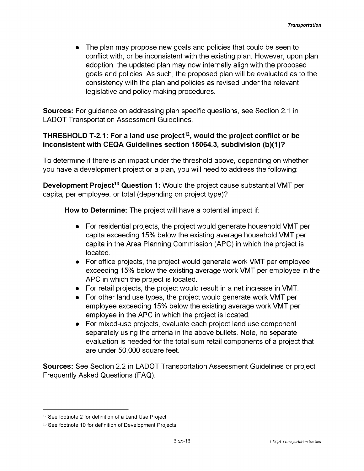The plan may propose new goals and policies that could be seen to conflict with, or be inconsistent with the existing plan. However, upon plan adoption, the updated plan may now internally align with the proposed goals and policies. As such, the proposed plan will be evaluated as to the consistency with the plan and policies as revised under the relevant legislative and policy making procedures.

**Sources:** For guidance on addressing plan specific questions, see Section 2.1 in LADOT Transportation Assessment Guidelines.

## **THRESHOLD T-2.1: For a land use project12, would the project conflict or be inconsistent with CEQA Guidelines section 15064.3, subdivision (b)(1)?**

To determine if there is an impact under the threshold above, depending on whether you have a development project or a plan, you will need to address the following:

**Development Project<sup>13</sup> Question 1:** Would the project cause substantial VMT per capita, per employee, or total (depending on project type)?

**How to Determine:** The project will have a potential impact if:

- For residential projects, the project would generate household VMT per capita exceeding 15% below the existing average household VMT per capita in the Area Planning Commission (APC) in which the project is located.
- For office projects, the project would generate work VMT per employee exceeding 15% below the existing average work VMT per employee in the APC in which the project is located.
- For retail projects, the project would result in a net increase in VMT.
- For other land use types, the project would generate work VMT per employee exceeding 15% below the existing average work VMT per employee in the APC in which the project is located.
- For mixed-use projects, evaluate each project land use component separately using the criteria in the above bullets. Note, no separate evaluation is needed for the total sum retail components of a project that are under 50,000 square feet.

**Sources:** See Section 2.2 in LADOT Transportation Assessment Guidelines or project Frequently Asked Questions (FAQ).

<sup>12</sup> See footnote 2 for definition of a Land Use Project.

<sup>13</sup> See footnote 10 for definition of Development Projects.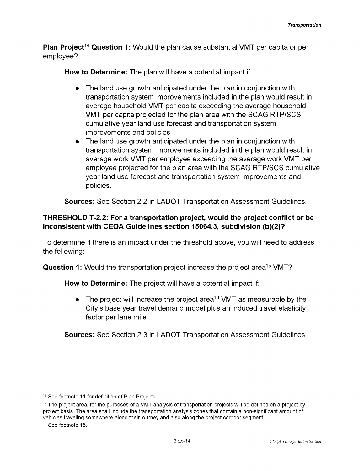**Plan Project14 Question 1:** Would the plan cause substantial VMT per capita or per employee?

**How to Determine:** The plan will have a potential impact if:

- The land use growth anticipated under the plan in conjunction with transportation system improvements included in the plan would result in average household VMT per capita exceeding the average household VMT per capita projected for the plan area with the SCAG RTP/SCS cumulative year land use forecast and transportation system improvements and policies.
- The land use growth anticipated under the plan in conjunction with transportation system improvements included in the plan would result in average work VMT per employee exceeding the average work VMT per employee projected for the plan area with the SCAG RTP/SCS cumulative year land use forecast and transportation system improvements and policies.

**Sources:** See Section 2.2 in LADOT Transportation Assessment Guidelines.

## **THRESHOLD T-2.2: For a transportation project, would the project conflict or be inconsistent with CEQA Guidelines section 15064.3, subdivision (b)(2)?**

To determine if there is an impact under the threshold above, you will need to address the following:

**Question 1:** Would the transportation project increase the project area<sup>15</sup> VMT?

**How to Determine:** The project will have a potential impact if:

 $\bullet$  The project will increase the project area<sup>16</sup> VMT as measurable by the City's base year travel demand model plus an induced travel elasticity factor per lane mile.

**Sources:** See Section 2.3 in LADOT Transportation Assessment Guidelines.

<sup>&</sup>lt;sup>14</sup> See footnote 11 for definition of Plan Projects.

<sup>15</sup> The project area, for the purposes of a VMT analysis of transportation projects will be defined on a project by project basis. The area shall include the transportation analysis zones that contain a non-significant amount of vehicles traveling somewhere along their journey and also along the project corridor segment.

<sup>16</sup> See footnote 15.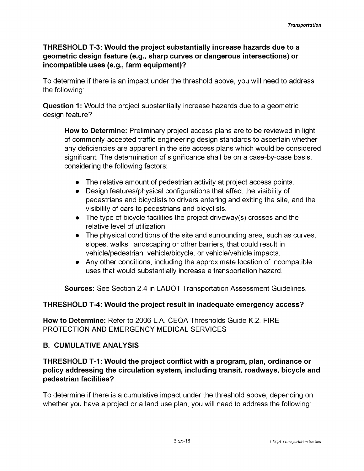## **THRESHOLD T-3: Would the project substantially increase hazards due to a geometric design feature (e.g., sharp curves or dangerous intersections) or incompatible uses (e.g., farm equipment)?**

To determine if there is an impact under the threshold above, you will need to address the following:

**Question 1:** Would the project substantially increase hazards due to a geometric design feature?

**How to Determine:** Preliminary project access plans are to be reviewed in light of commonly-accepted traffic engineering design standards to ascertain whether any deficiencies are apparent in the site access plans which would be considered significant. The determination of significance shall be on a case-by-case basis, considering the following factors:

- The relative amount of pedestrian activity at project access points.
- Design features/physical configurations that affect the visibility of pedestrians and bicyclists to drivers entering and exiting the site, and the visibility of cars to pedestrians and bicyclists.
- The type of bicycle facilities the project driveway(s) crosses and the relative level of utilization.
- The physical conditions of the site and surrounding area, such as curves, slopes, walks, landscaping or other barriers, that could result in vehicle/pedestrian, vehicle/bicycle, or vehicle/vehicle impacts.
- Any other conditions, including the approximate location of incompatible uses that would substantially increase a transportation hazard.

**Sources:** See Section 2.4 in LADOT Transportation Assessment Guidelines.

#### **THRESHOLD T-4: Would the project result in inadequate emergency access?**

**How to Determine:** Refer to 2006 L.A. CEQA Thresholds Guide K.2. FIRE PROTECTION AND EMERGENCY MEDICAL SERVICES

#### **B. CUMULATIVE ANALYSIS**

## **THRESHOLD T-1: Would the project conflict with a program, plan, ordinance or policy addressing the circulation system, including transit, roadways, bicycle and pedestrian facilities?**

To determine if there is a cumulative impact under the threshold above, depending on whether you have a project or a land use plan, you will need to address the following: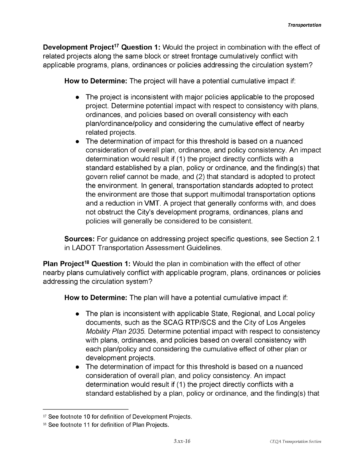**Development Project<sup>17</sup> Question 1:** Would the project in combination with the effect of related projects along the same block or street frontage cumulatively conflict with applicable programs, plans, ordinances or policies addressing the circulation system?

**How to Determine:** The project will have a potential cumulative impact if:

- The project is inconsistent with major policies applicable to the proposed project. Determine potential impact with respect to consistency with plans, ordinances, and policies based on overall consistency with each plan/ordinance/policy and considering the cumulative effect of nearby related projects.
- The determination of impact for this threshold is based on a nuanced consideration of overall plan, ordinance, and policy consistency. An impact determination would result if (1) the project directly conflicts with a standard established by a plan, policy or ordinance, and the finding(s) that govern relief cannot be made, and (2) that standard is adopted to protect the environment. In general, transportation standards adopted to protect the environment are those that support multimodal transportation options and a reduction in VMT. A project that generally conforms with, and does not obstruct the City's development programs, ordinances, plans and policies will generally be considered to be consistent.

**Sources:** For guidance on addressing project specific questions, see Section 2.1 in LADOT Transportation Assessment Guidelines.

**Plan Project18 Question 1:** Would the plan in combination with the effect of other nearby plans cumulatively conflict with applicable program, plans, ordinances or policies addressing the circulation system?

**How to Determine:** The plan will have a potential cumulative impact if:

- The plan is inconsistent with applicable State, Regional, and Local policy documents, such as the SCAG RTP/SCS and the City of Los Angeles *Mobility Plan 2035.* Determine potential impact with respect to consistency with plans, ordinances, and policies based on overall consistency with each plan/policy and considering the cumulative effect of other plan or development projects.
- The determination of impact for this threshold is based on a nuanced consideration of overall plan, and policy consistency. An impact determination would result if (1) the project directly conflicts with a standard established by a plan, policy or ordinance, and the finding(s) that

 $^{\scriptscriptstyle 17}$  See footnote 10 for definition of Development Projects.

 $^{18}$  See footnote 11 for definition of Plan Projects.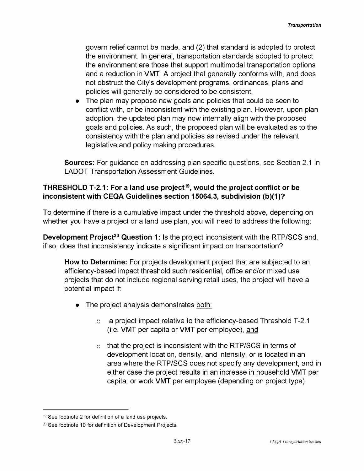govern relief cannot be made, and (2) that standard is adopted to protect the environment. In general, transportation standards adopted to protect the environment are those that support multimodal transportation options and a reduction in VMT. A project that generally conforms with, and does not obstruct the City's development programs, ordinances, plans and policies will generally be considered to be consistent.

The plan may propose new goals and policies that could be seen to conflict with, or be inconsistent with the existing plan. However, upon plan adoption, the updated plan may now internally align with the proposed goals and policies. As such, the proposed plan will be evaluated as to the consistency with the plan and policies as revised under the relevant legislative and policy making procedures.

**Sources:** For guidance on addressing plan specific questions, see Section 2.1 in LADOT Transportation Assessment Guidelines.

## **THRESHOLD T-2.1: For a land use project19, would the project conflict or be inconsistent with CEQA Guidelines section 15064.3, subdivision (b)(1)?**

To determine if there is a cumulative impact under the threshold above, depending on whether you have a project or a land use plan, you will need to address the following:

**Development Project<sup>20</sup> Question 1:** Is the project inconsistent with the RTP/SCS and, if so, does that inconsistency indicate a significant impact on transportation?

**How to Determine:** For projects development project that are subjected to an efficiency-based impact threshold such residential, office and/or mixed use projects that do not include regional serving retail uses, the project will have a potential impact if:

- The project analysis demonstrates both:
	- a project impact relative to the efficiency-based Threshold T-2.1 (i.e. VMT per capita or VMT per employee), and o
	- that the project is inconsistent with the RTP/SCS in terms of development location, density, and intensity, or is located in an area where the RTP/SCS does not specify any development, and in either case the project results in an increase in household VMT per capita, or work VMT per employee (depending on project type) o

<sup>19</sup> See footnote 2 for definition of a land use projects.

<sup>20</sup> See footnote 10 for definition of Development Projects.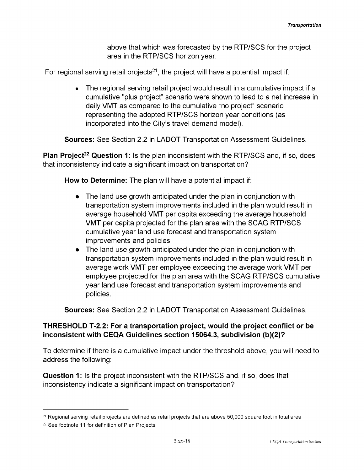above that which was forecasted by the RTP/SCS for the project area in the RTP/SCS horizon year.

For regional serving retail projects<sup>21</sup>, the project will have a potential impact if:

• The regional serving retail project would result in a cumulative impact if a cumulative "plus project" scenario were shown to lead to a net increase in daily VMT as compared to the cumulative "no project" scenario representing the adopted RTP/SCS horizon year conditions (as incorporated into the City's travel demand model).

**Sources:** See Section 2.2 in LADOT Transportation Assessment Guidelines.

**Plan Project<sup>22</sup> Question 1:** Is the plan inconsistent with the RTP/SCS and, if so, does that inconsistency indicate a significant impact on transportation?

**How to Determine:** The plan will have a potential impact if:

- The land use growth anticipated under the plan in conjunction with transportation system improvements included in the plan would result in average household VMT per capita exceeding the average household VMT per capita projected for the plan area with the SCAG RTP/SCS cumulative year land use forecast and transportation system improvements and policies.
- The land use growth anticipated under the plan in conjunction with transportation system improvements included in the plan would result in average work VMT per employee exceeding the average work VMT per employee projected for the plan area with the SCAG RTP/SCS cumulative year land use forecast and transportation system improvements and policies.

**Sources:** See Section 2.2 in LADOT Transportation Assessment Guidelines.

#### **THRESHOLD T-2.2: For a transportation project, would the project conflict or be inconsistent with CEQA Guidelines section 15064.3, subdivision (b)(2)?**

To determine if there is a cumulative impact under the threshold above, you will need to address the following:

**Question 1:** Is the project inconsistent with the RTP/SCS and, if so, does that inconsistency indicate a significant impact on transportation?

<sup>21</sup> Regional serving retail projects are defined as retail projects that are above 50,000 square foot in total area

<sup>22</sup> See footnote 11 for definition of Plan Projects.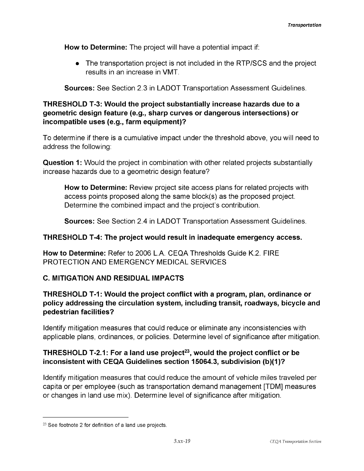**How to Determine:** The project will have a potential impact if:

The transportation project is not included in the RTP/SCS and the project results in an increase in VMT.

**Sources:** See Section 2.3 in LADOT Transportation Assessment Guidelines.

## **THRESHOLD T-3: Would the project substantially increase hazards due to a geometric design feature (e.g., sharp curves or dangerous intersections) or incompatible uses (e.g., farm equipment)?**

To determine if there is a cumulative impact under the threshold above, you will need to address the following:

**Question 1:** Would the project in combination with other related projects substantially increase hazards due to a geometric design feature?

**How to Determine:** Review project site access plans for related projects with access points proposed along the same block(s) as the proposed project. Determine the combined impact and the project's contribution.

**Sources:** See Section 2.4 in LADOT Transportation Assessment Guidelines.

#### **THRESHOLD T-4: The project would result in inadequate emergency access.**

**How to Determine:** Refer to 2006 L.A. CEQA Thresholds Guide K.2. FIRE PROTECTION AND EMERGENCY MEDICAL SERVICES

# **C. MITIGATION AND RESIDUAL IMPACTS**

## **THRESHOLD T-1: Would the project conflict with a program, plan, ordinance or policy addressing the circulation system, including transit, roadways, bicycle and pedestrian facilities?**

Identify mitigation measures that could reduce or eliminate any inconsistencies with applicable plans, ordinances, or policies. Determine level of significance after mitigation.

# **THRESHOLD T-2.1: For a land use project23, would the project conflict or be inconsistent with CEQA Guidelines section 15064.3, subdivision (b)(1)?**

Identify mitigation measures that could reduce the amount of vehicle miles traveled per capita or per employee (such as transportation demand management [TDM] measures or changes in land use mix). Determine level of significance after mitigation.

<sup>23</sup> See footnote 2 for definition of a land use projects.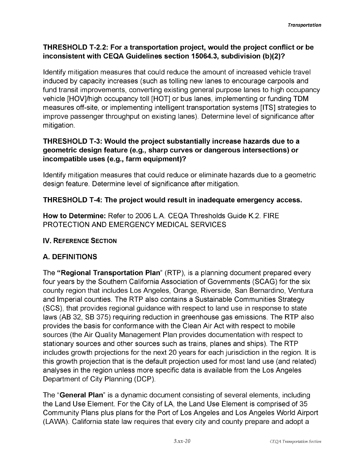# **THRESHOLD T-2.2: For a transportation project, would the project conflict or be inconsistent with CEQA Guidelines section 15064.3, subdivision (b)(2)?**

Identify mitigation measures that could reduce the amount of increased vehicle travel induced by capacity increases (such as tolling new lanes to encourage carpools and fund transit improvements, converting existing general purpose lanes to high occupancy vehicle [HOV]/high occupancy toll [HOT] or bus lanes, implementing or funding TDM measures off-site, or implementing intelligent transportation systems [ITS] strategies to improve passenger throughput on existing lanes). Determine level of significance after mitigation.

## **THRESHOLD T-3: Would the project substantially increase hazards due to a geometric design feature (e.g., sharp curves or dangerous intersections) or incompatible uses (e.g., farm equipment)?**

Identify mitigation measures that could reduce or eliminate hazards due to a geometric design feature. Determine level of significance after mitigation.

# **THRESHOLD T-4: The project would result in inadequate emergency access.**

**How to Determine:** Refer to 2006 L.A. CEQA Thresholds Guide K.2. FIRE PROTECTION AND EMERGENCY MEDICAL SERVICES

# **IV. Reference Section**

# **A. DEFINITIONS**

The **"Regional Transportation Plan**" (RTP), is a planning document prepared every four years by the Southern California Association of Governments (SCAG) for the six county region that includes Los Angeles, Orange, Riverside, San Bernardino, Ventura and Imperial counties. The RTP also contains a Sustainable Communities Strategy (SCS), that provides regional guidance with respect to land use in response to state laws (AB 32, SB 375) requiring reduction in greenhouse gas emissions. The RTP also provides the basis for conformance with the Clean Air Act with respect to mobile sources (the Air Quality Management Plan provides documentation with respect to stationary sources and other sources such as trains, planes and ships). The RTP includes growth projections for the next 20 years for each jurisdiction in the region. It is this growth projection that is the default projection used for most land use (and related) analyses in the region unless more specific data is available from the Los Angeles Department of City Planning (DCP).

The "**General Plan**" is a dynamic document consisting of several elements, including the Land Use Element. For the City of LA, the Land Use Element is comprised of 35 Community Plans plus plans for the Port of Los Angeles and Los Angeles World Airport (LAWA). California state law requires that every city and county prepare and adopt a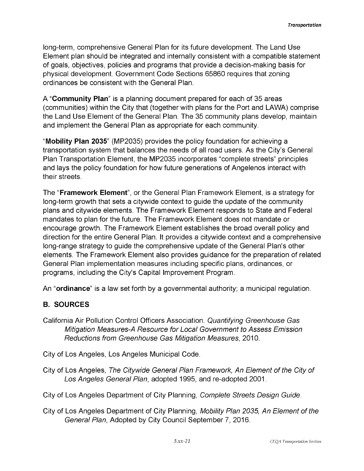long-term, comprehensive General Plan for its future development. The Land Use Element plan should be integrated and internally consistent with a compatible statement of goals, objectives, policies and programs that provide a decision-making basis for physical development. Government Code Sections 65860 requires that zoning ordinances be consistent with the General Plan.

A "**Community Plan**" is a planning document prepared for each of 35 areas (communities) within the City that (together with plans for the Port and LAWA) comprise the Land Use Element of the General Plan. The 35 community plans develop, maintain and implement the General Plan as appropriate for each community.

"**Mobility Plan 2035**" (MP2035) provides the policy foundation for achieving a transportation system that balances the needs of all road users. As the City's General Plan Transportation Element, the MP2035 incorporates "complete streets" principles and lays the policy foundation for how future generations of Angelenos interact with their streets.

The "**Framework Element**", or the General Plan Framework Element, is a strategy for long-term growth that sets a citywide context to guide the update of the community plans and citywide elements. The Framework Element responds to State and Federal mandates to plan for the future. The Framework Element does not mandate or encourage growth. The Framework Element establishes the broad overall policy and direction for the entire General Plan. It provides a citywide context and a comprehensive long-range strategy to guide the comprehensive update of the General Plan's other elements. The Framework Element also provides guidance for the preparation of related General Plan implementation measures including specific plans, ordinances, or programs, including the City's Capital Improvement Program.

An "**ordinance**" is a law set forth by a governmental authority; a municipal regulation.

# **B. SOURCES**

California Air Pollution Control Officers Association. *Quantifying Greenhouse Gas Mitigation Measures-A Resource for Local Government to Assess Emission Reductions from Greenhouse Gas Mitigation Measures,* 2010.

City of Los Angeles, Los Angeles Municipal Code.

City of Los Angeles, *The Citywide General Plan Framework, An Element of the City of Los Angeles General Plan,* adopted 1995, and re-adopted 2001.

City of Los Angeles Department of City Planning, *Complete Streets Design Guide.*

City of Los Angeles Department of City Planning, *Mobility Plan 2035, An Element of the General Plan,* Adopted by City Council September 7, 2016.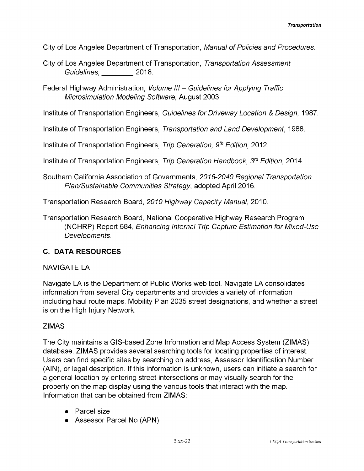City of Los Angeles Department of Transportation, *Manual ofPolicies and Procedures.*

City of Los Angeles Department of Transportation, *Transportation Assessment Guidelines,* 2018.

Federal Highway Administration, *Volume III - Guidelines for Applying Traffic Microsimulation Modeling Software,* August 2003.

Institute of Transportation Engineers, *Guidelines for Driveway Location & Design,* 1987.

Institute of Transportation Engineers, *Transportation and Land Development,* 1988.

Institute of Transportation Engineers, *Trip Generation, 9th Edition,* 2012.

Institute of Transportation Engineers, *Trip Generation Handbook, 3rd Edition,* 2014.

Southern California Association of Governments, *2016-2040 Regional Transportation Plan/Sustainable Communities Strategy,* adopted April 2016.

Transportation Research Board, *2010 Highway Capacity Manual,* 2010.

Transportation Research Board, National Cooperative Highway Research Program (NCHRP) Report 684, *Enhancing Internal Trip Capture Estimation for Mixed-Use Developments*.

# **C. DATA RESOURCES**

#### NAVIGATE LA

Navigate LA is the Department of Public Works web tool. Navigate LA consolidates information from several City departments and provides a variety of information including haul route maps, Mobility Plan 2035 street designations, and whether a street is on the High Injury Network.

#### ZIMAS

The City maintains a GIS-based Zone Information and Map Access System (ZIMAS) database. ZIMAS provides several searching tools for locating properties of interest. Users can find specific sites by searching on address, Assessor Identification Number (AIN), or legal description. If this information is unknown, users can initiate a search for a general location by entering street intersections or may visually search for the property on the map display using the various tools that interact with the map. Information that can be obtained from ZIMAS:

- Parcel size
- Assessor Parcel No (APN)